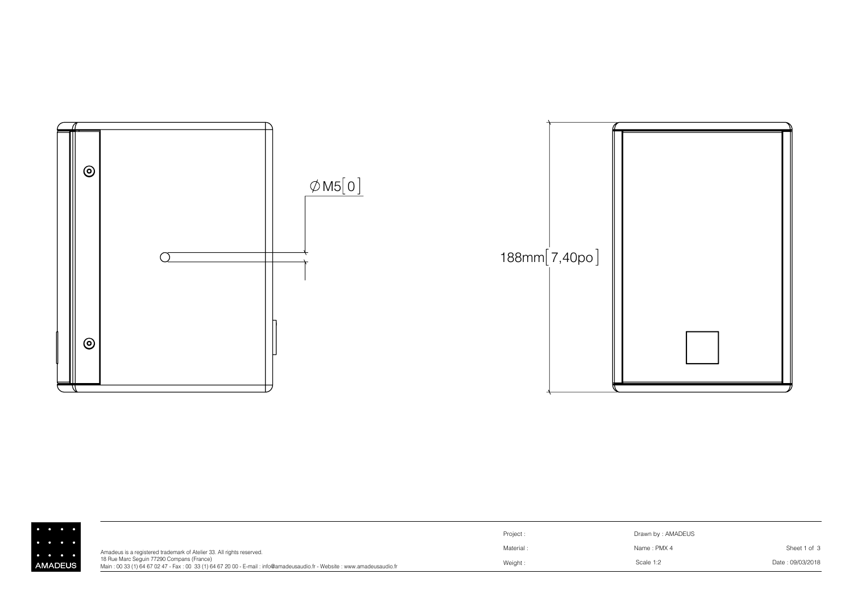

|                                     |                                                                                                                                                                     | Project: | Drawn by: AMADEUS |                  |
|-------------------------------------|---------------------------------------------------------------------------------------------------------------------------------------------------------------------|----------|-------------------|------------------|
| $\bullet\qquad\bullet\qquad\bullet$ | Amadeus is a registered trademark of Atelier 33. All rights reserved.                                                                                               | Material | Name: PMX 4       | Sheet 1 of 3     |
| <b>IADEUS</b>                       | 18 Rue Marc Sequin 77290 Compans (France)<br>Main: 00 33 (1) 64 67 02 47 - Fax: 00 33 (1) 64 67 20 00 - E-mail: info@amadeusaudio.fr - Website: www.amadeusaudio.fr | Weight:  | Scale 1:2         | Date: 09/03/2018 |

 $\frac{1}{2}$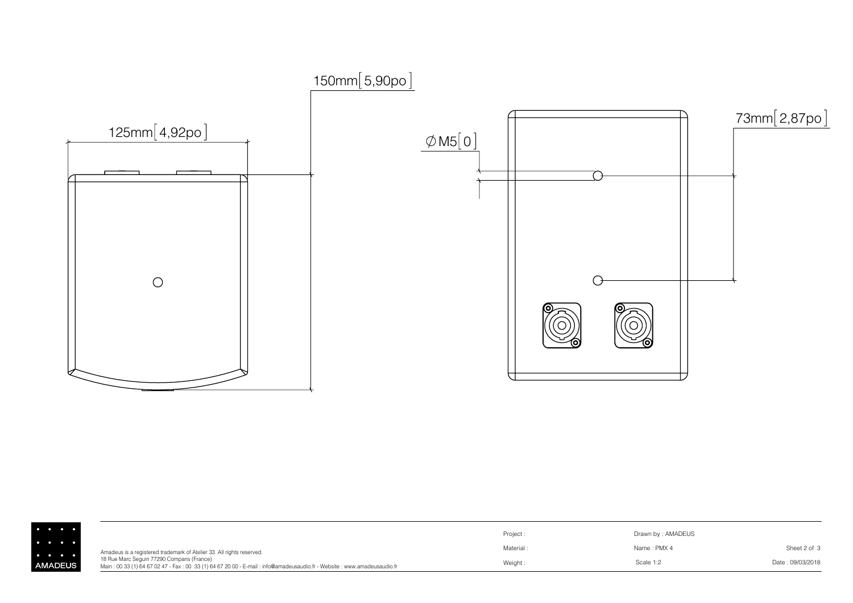

|              |                                                                                                                                                                     | Project  | Drawn by: AMADEUS |                  |
|--------------|---------------------------------------------------------------------------------------------------------------------------------------------------------------------|----------|-------------------|------------------|
|              | Amadeus is a registered trademark of Atelier 33. All rights reserved.                                                                                               | Material | Name: PMX 4       | Sheet 2 of 3     |
| <b>ADEUS</b> | 18 Rue Marc Sequin 77290 Compans (France)<br>Main: 00 33 (1) 64 67 02 47 - Fax: 00 33 (1) 64 67 20 00 - E-mail: info@amadeusaudio.fr - Website: www.amadeusaudio.fr | Weight   | Scale 1:2         | Date: 09/03/2018 |

 $\Big| \cdot$  AM